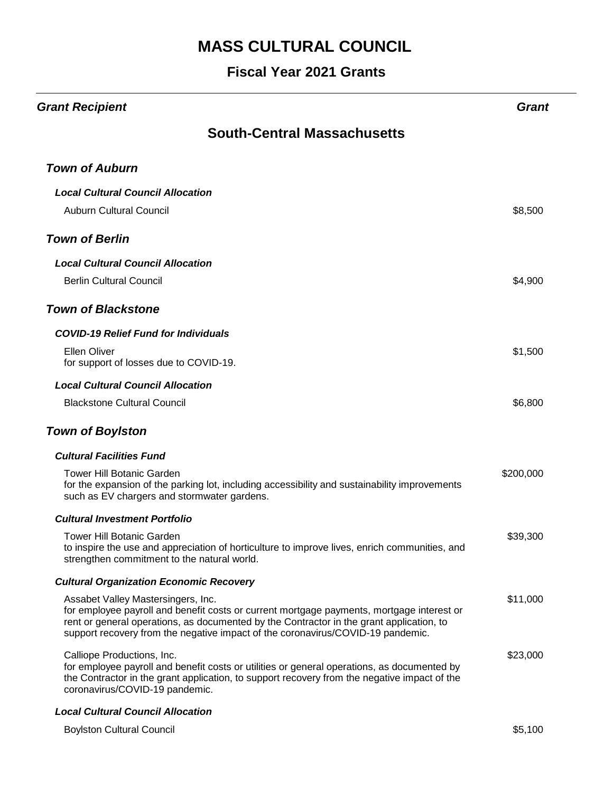#### **Fiscal Year 2021 Grants**

| <b>Grant Recipient</b>                                                                                                                                                                                                                                                                                         | Grant     |
|----------------------------------------------------------------------------------------------------------------------------------------------------------------------------------------------------------------------------------------------------------------------------------------------------------------|-----------|
| <b>South-Central Massachusetts</b>                                                                                                                                                                                                                                                                             |           |
| <b>Town of Auburn</b>                                                                                                                                                                                                                                                                                          |           |
| <b>Local Cultural Council Allocation</b><br><b>Auburn Cultural Council</b>                                                                                                                                                                                                                                     | \$8,500   |
| <b>Town of Berlin</b>                                                                                                                                                                                                                                                                                          |           |
| <b>Local Cultural Council Allocation</b><br><b>Berlin Cultural Council</b>                                                                                                                                                                                                                                     | \$4,900   |
| <b>Town of Blackstone</b>                                                                                                                                                                                                                                                                                      |           |
| <b>COVID-19 Relief Fund for Individuals</b><br><b>Ellen Oliver</b><br>for support of losses due to COVID-19.                                                                                                                                                                                                   | \$1,500   |
| <b>Local Cultural Council Allocation</b><br><b>Blackstone Cultural Council</b>                                                                                                                                                                                                                                 | \$6,800   |
| <b>Town of Boylston</b>                                                                                                                                                                                                                                                                                        |           |
| <b>Cultural Facilities Fund</b><br><b>Tower Hill Botanic Garden</b><br>for the expansion of the parking lot, including accessibility and sustainability improvements<br>such as EV chargers and stormwater gardens.                                                                                            | \$200,000 |
| <b>Cultural Investment Portfolio</b>                                                                                                                                                                                                                                                                           |           |
| Tower Hill Botanic Garden<br>to inspire the use and appreciation of horticulture to improve lives, enrich communities, and<br>strengthen commitment to the natural world.                                                                                                                                      | \$39,300  |
| <b>Cultural Organization Economic Recovery</b>                                                                                                                                                                                                                                                                 |           |
| Assabet Valley Mastersingers, Inc.<br>for employee payroll and benefit costs or current mortgage payments, mortgage interest or<br>rent or general operations, as documented by the Contractor in the grant application, to<br>support recovery from the negative impact of the coronavirus/COVID-19 pandemic. | \$11,000  |
| Calliope Productions, Inc.<br>for employee payroll and benefit costs or utilities or general operations, as documented by<br>the Contractor in the grant application, to support recovery from the negative impact of the<br>coronavirus/COVID-19 pandemic.                                                    | \$23,000  |
| <b>Local Cultural Council Allocation</b>                                                                                                                                                                                                                                                                       |           |

Boylston Cultural Council **\$5,100**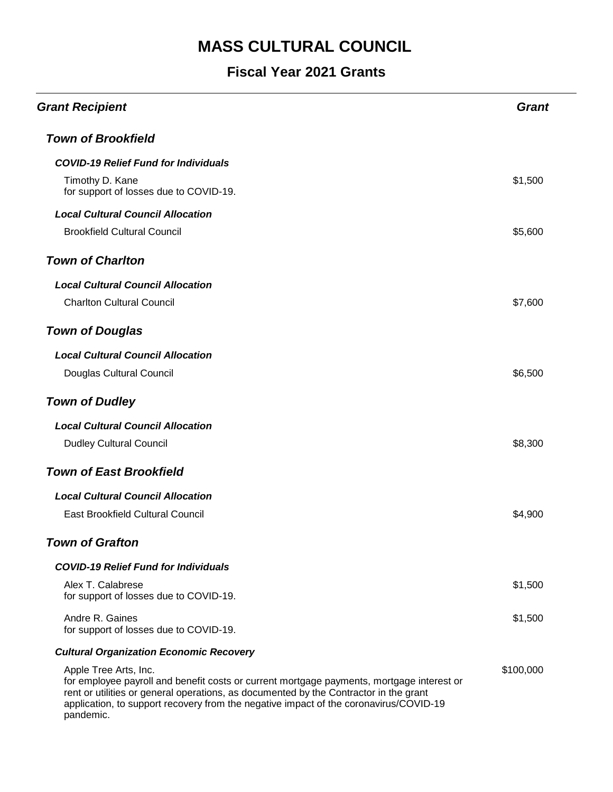| <b>Grant Recipient</b>                                                                                                                                                                                                                                                                                            | <b>Grant</b> |
|-------------------------------------------------------------------------------------------------------------------------------------------------------------------------------------------------------------------------------------------------------------------------------------------------------------------|--------------|
| <b>Town of Brookfield</b>                                                                                                                                                                                                                                                                                         |              |
| <b>COVID-19 Relief Fund for Individuals</b>                                                                                                                                                                                                                                                                       |              |
| Timothy D. Kane<br>for support of losses due to COVID-19.                                                                                                                                                                                                                                                         | \$1,500      |
| <b>Local Cultural Council Allocation</b>                                                                                                                                                                                                                                                                          |              |
| <b>Brookfield Cultural Council</b>                                                                                                                                                                                                                                                                                | \$5,600      |
| <b>Town of Charlton</b>                                                                                                                                                                                                                                                                                           |              |
| <b>Local Cultural Council Allocation</b>                                                                                                                                                                                                                                                                          |              |
| <b>Charlton Cultural Council</b>                                                                                                                                                                                                                                                                                  | \$7,600      |
| <b>Town of Douglas</b>                                                                                                                                                                                                                                                                                            |              |
| <b>Local Cultural Council Allocation</b>                                                                                                                                                                                                                                                                          |              |
| Douglas Cultural Council                                                                                                                                                                                                                                                                                          | \$6,500      |
| <b>Town of Dudley</b>                                                                                                                                                                                                                                                                                             |              |
| <b>Local Cultural Council Allocation</b>                                                                                                                                                                                                                                                                          |              |
| <b>Dudley Cultural Council</b>                                                                                                                                                                                                                                                                                    | \$8,300      |
| <b>Town of East Brookfield</b>                                                                                                                                                                                                                                                                                    |              |
| <b>Local Cultural Council Allocation</b>                                                                                                                                                                                                                                                                          |              |
| East Brookfield Cultural Council                                                                                                                                                                                                                                                                                  | \$4,900      |
| <b>Town of Grafton</b>                                                                                                                                                                                                                                                                                            |              |
| <b>COVID-19 Relief Fund for Individuals</b>                                                                                                                                                                                                                                                                       |              |
| Alex T. Calabrese<br>for support of losses due to COVID-19.                                                                                                                                                                                                                                                       | \$1,500      |
| Andre R. Gaines<br>for support of losses due to COVID-19.                                                                                                                                                                                                                                                         | \$1,500      |
| <b>Cultural Organization Economic Recovery</b>                                                                                                                                                                                                                                                                    |              |
| Apple Tree Arts, Inc.<br>for employee payroll and benefit costs or current mortgage payments, mortgage interest or<br>rent or utilities or general operations, as documented by the Contractor in the grant<br>application, to support recovery from the negative impact of the coronavirus/COVID-19<br>pandemic. | \$100,000    |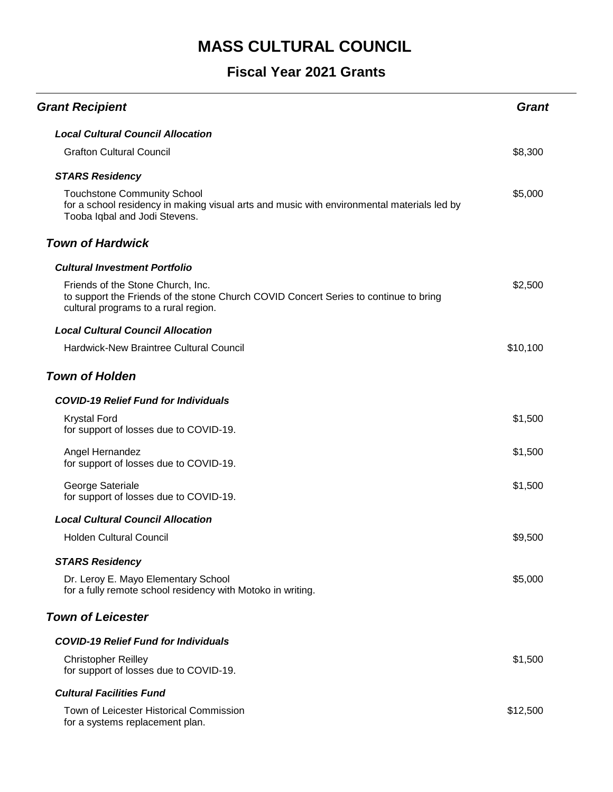| <b>Grant Recipient</b>                                                                                                                                            | <b>Grant</b> |
|-------------------------------------------------------------------------------------------------------------------------------------------------------------------|--------------|
| <b>Local Cultural Council Allocation</b>                                                                                                                          |              |
| <b>Grafton Cultural Council</b>                                                                                                                                   | \$8,300      |
| <b>STARS Residency</b>                                                                                                                                            |              |
| <b>Touchstone Community School</b><br>for a school residency in making visual arts and music with environmental materials led by<br>Tooba Iqbal and Jodi Stevens. | \$5,000      |
| <b>Town of Hardwick</b>                                                                                                                                           |              |
| <b>Cultural Investment Portfolio</b>                                                                                                                              |              |
| Friends of the Stone Church, Inc.<br>to support the Friends of the stone Church COVID Concert Series to continue to bring<br>cultural programs to a rural region. | \$2,500      |
| <b>Local Cultural Council Allocation</b>                                                                                                                          |              |
| <b>Hardwick-New Braintree Cultural Council</b>                                                                                                                    | \$10,100     |
| <b>Town of Holden</b>                                                                                                                                             |              |
| <b>COVID-19 Relief Fund for Individuals</b>                                                                                                                       |              |
| <b>Krystal Ford</b><br>for support of losses due to COVID-19.                                                                                                     | \$1,500      |
| Angel Hernandez<br>for support of losses due to COVID-19.                                                                                                         | \$1,500      |
| George Sateriale<br>for support of losses due to COVID-19.                                                                                                        | \$1,500      |
| <b>Local Cultural Council Allocation</b>                                                                                                                          |              |
| <b>Holden Cultural Council</b>                                                                                                                                    | \$9,500      |
| <b>STARS Residency</b>                                                                                                                                            |              |
| Dr. Leroy E. Mayo Elementary School<br>for a fully remote school residency with Motoko in writing.                                                                | \$5,000      |
| <b>Town of Leicester</b>                                                                                                                                          |              |
| <b>COVID-19 Relief Fund for Individuals</b>                                                                                                                       |              |
| <b>Christopher Reilley</b><br>for support of losses due to COVID-19.                                                                                              | \$1,500      |
| <b>Cultural Facilities Fund</b>                                                                                                                                   |              |
| Town of Leicester Historical Commission<br>for a systems replacement plan.                                                                                        | \$12,500     |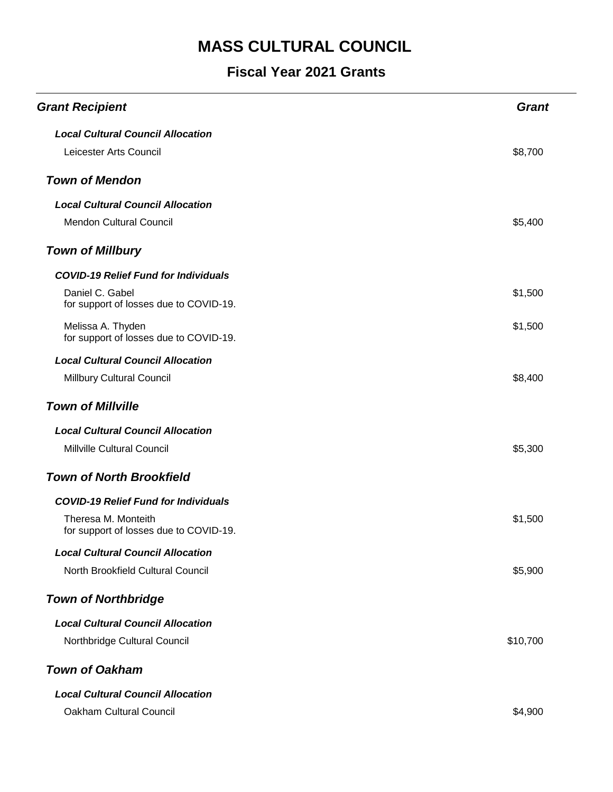| <b>Grant Recipient</b>                                        | <b>Grant</b> |
|---------------------------------------------------------------|--------------|
| <b>Local Cultural Council Allocation</b>                      |              |
| Leicester Arts Council                                        | \$8,700      |
| <b>Town of Mendon</b>                                         |              |
| <b>Local Cultural Council Allocation</b>                      |              |
| <b>Mendon Cultural Council</b>                                | \$5,400      |
| <b>Town of Millbury</b>                                       |              |
| <b>COVID-19 Relief Fund for Individuals</b>                   |              |
| Daniel C. Gabel<br>for support of losses due to COVID-19.     | \$1,500      |
| Melissa A. Thyden<br>for support of losses due to COVID-19.   | \$1,500      |
| <b>Local Cultural Council Allocation</b>                      |              |
| Millbury Cultural Council                                     | \$8,400      |
| <b>Town of Millville</b>                                      |              |
| <b>Local Cultural Council Allocation</b>                      |              |
| Millville Cultural Council                                    | \$5,300      |
| <b>Town of North Brookfield</b>                               |              |
| <b>COVID-19 Relief Fund for Individuals</b>                   |              |
| Theresa M. Monteith<br>for support of losses due to COVID-19. | \$1,500      |
| <b>Local Cultural Council Allocation</b>                      |              |
| North Brookfield Cultural Council                             | \$5,900      |
| <b>Town of Northbridge</b>                                    |              |
| <b>Local Cultural Council Allocation</b>                      |              |
| Northbridge Cultural Council                                  | \$10,700     |
| <b>Town of Oakham</b>                                         |              |
| <b>Local Cultural Council Allocation</b>                      |              |
| Oakham Cultural Council                                       | \$4,900      |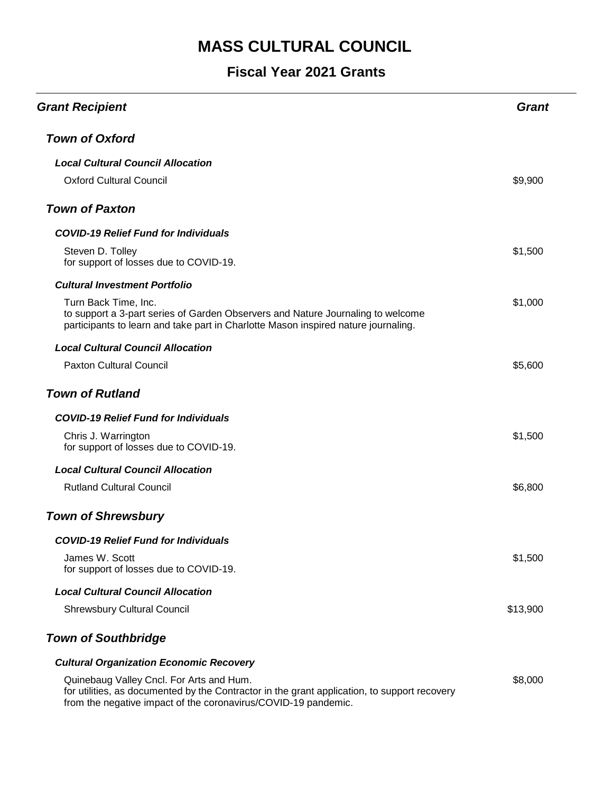| <b>Grant Recipient</b>                                                                                                                                                                                     | Grant    |
|------------------------------------------------------------------------------------------------------------------------------------------------------------------------------------------------------------|----------|
| <b>Town of Oxford</b>                                                                                                                                                                                      |          |
| <b>Local Cultural Council Allocation</b>                                                                                                                                                                   |          |
| <b>Oxford Cultural Council</b>                                                                                                                                                                             | \$9,900  |
| <b>Town of Paxton</b>                                                                                                                                                                                      |          |
| <b>COVID-19 Relief Fund for Individuals</b>                                                                                                                                                                |          |
| Steven D. Tolley<br>for support of losses due to COVID-19.                                                                                                                                                 | \$1,500  |
| <b>Cultural Investment Portfolio</b>                                                                                                                                                                       |          |
| Turn Back Time, Inc.<br>to support a 3-part series of Garden Observers and Nature Journaling to welcome<br>participants to learn and take part in Charlotte Mason inspired nature journaling.              | \$1,000  |
| <b>Local Cultural Council Allocation</b>                                                                                                                                                                   |          |
| <b>Paxton Cultural Council</b>                                                                                                                                                                             | \$5,600  |
| <b>Town of Rutland</b>                                                                                                                                                                                     |          |
| <b>COVID-19 Relief Fund for Individuals</b>                                                                                                                                                                |          |
| Chris J. Warrington<br>for support of losses due to COVID-19.                                                                                                                                              | \$1,500  |
| <b>Local Cultural Council Allocation</b>                                                                                                                                                                   |          |
| <b>Rutland Cultural Council</b>                                                                                                                                                                            | \$6,800  |
| <b>Town of Shrewsbury</b>                                                                                                                                                                                  |          |
| COVID-19 Relief Fund for Individuals                                                                                                                                                                       |          |
| James W. Scott<br>for support of losses due to COVID-19.                                                                                                                                                   | \$1,500  |
| <b>Local Cultural Council Allocation</b>                                                                                                                                                                   |          |
| <b>Shrewsbury Cultural Council</b>                                                                                                                                                                         | \$13,900 |
| <b>Town of Southbridge</b>                                                                                                                                                                                 |          |
| <b>Cultural Organization Economic Recovery</b>                                                                                                                                                             |          |
| Quinebaug Valley Cncl. For Arts and Hum.<br>for utilities, as documented by the Contractor in the grant application, to support recovery<br>from the negative impact of the coronavirus/COVID-19 pandemic. | \$8,000  |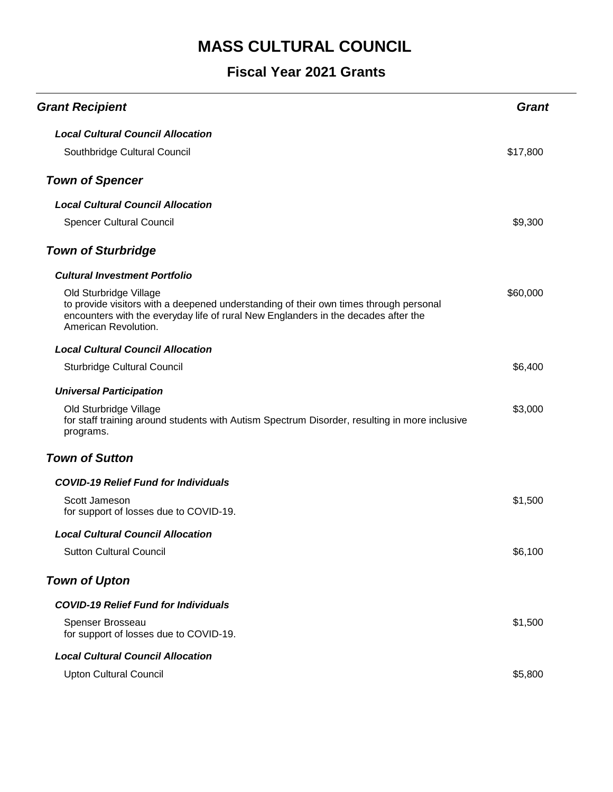| <b>Grant Recipient</b>                                                                                                                                                                                                        | Grant    |
|-------------------------------------------------------------------------------------------------------------------------------------------------------------------------------------------------------------------------------|----------|
| <b>Local Cultural Council Allocation</b>                                                                                                                                                                                      |          |
| Southbridge Cultural Council                                                                                                                                                                                                  | \$17,800 |
| <b>Town of Spencer</b>                                                                                                                                                                                                        |          |
| <b>Local Cultural Council Allocation</b>                                                                                                                                                                                      |          |
| <b>Spencer Cultural Council</b>                                                                                                                                                                                               | \$9,300  |
| <b>Town of Sturbridge</b>                                                                                                                                                                                                     |          |
| <b>Cultural Investment Portfolio</b>                                                                                                                                                                                          |          |
| Old Sturbridge Village<br>to provide visitors with a deepened understanding of their own times through personal<br>encounters with the everyday life of rural New Englanders in the decades after the<br>American Revolution. | \$60,000 |
| <b>Local Cultural Council Allocation</b>                                                                                                                                                                                      |          |
| <b>Sturbridge Cultural Council</b>                                                                                                                                                                                            | \$6,400  |
| <b>Universal Participation</b>                                                                                                                                                                                                |          |
| Old Sturbridge Village<br>for staff training around students with Autism Spectrum Disorder, resulting in more inclusive<br>programs.                                                                                          | \$3,000  |
| <b>Town of Sutton</b>                                                                                                                                                                                                         |          |
| <b>COVID-19 Relief Fund for Individuals</b>                                                                                                                                                                                   |          |
| Scott Jameson<br>for support of losses due to COVID-19.                                                                                                                                                                       | \$1,500  |
| <b>Local Cultural Council Allocation</b>                                                                                                                                                                                      |          |
| <b>Sutton Cultural Council</b>                                                                                                                                                                                                | \$6,100  |
| <b>Town of Upton</b>                                                                                                                                                                                                          |          |
| <b>COVID-19 Relief Fund for Individuals</b>                                                                                                                                                                                   |          |
| Spenser Brosseau<br>for support of losses due to COVID-19.                                                                                                                                                                    | \$1,500  |
| <b>Local Cultural Council Allocation</b>                                                                                                                                                                                      |          |
| <b>Upton Cultural Council</b>                                                                                                                                                                                                 | \$5,800  |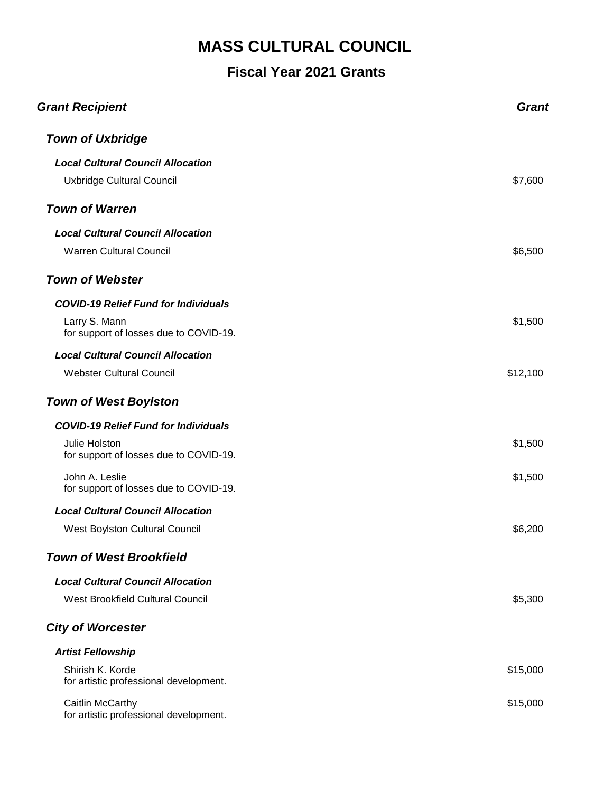| <b>Grant Recipient</b>                                     | <b>Grant</b> |
|------------------------------------------------------------|--------------|
| <b>Town of Uxbridge</b>                                    |              |
| <b>Local Cultural Council Allocation</b>                   |              |
| Uxbridge Cultural Council                                  | \$7,600      |
| <b>Town of Warren</b>                                      |              |
| <b>Local Cultural Council Allocation</b>                   |              |
| <b>Warren Cultural Council</b>                             | \$6,500      |
| <b>Town of Webster</b>                                     |              |
| <b>COVID-19 Relief Fund for Individuals</b>                |              |
| Larry S. Mann<br>for support of losses due to COVID-19.    | \$1,500      |
| <b>Local Cultural Council Allocation</b>                   |              |
| <b>Webster Cultural Council</b>                            | \$12,100     |
| <b>Town of West Boylston</b>                               |              |
| <b>COVID-19 Relief Fund for Individuals</b>                |              |
| Julie Holston<br>for support of losses due to COVID-19.    | \$1,500      |
| John A. Leslie<br>for support of losses due to COVID-19.   | \$1,500      |
| <b>Local Cultural Council Allocation</b>                   |              |
| West Boylston Cultural Council                             | \$6,200      |
| <b>Town of West Brookfield</b>                             |              |
| <b>Local Cultural Council Allocation</b>                   |              |
| <b>West Brookfield Cultural Council</b>                    | \$5,300      |
| <b>City of Worcester</b>                                   |              |
| <b>Artist Fellowship</b>                                   |              |
| Shirish K. Korde<br>for artistic professional development. | \$15,000     |
| Caitlin McCarthy<br>for artistic professional development. | \$15,000     |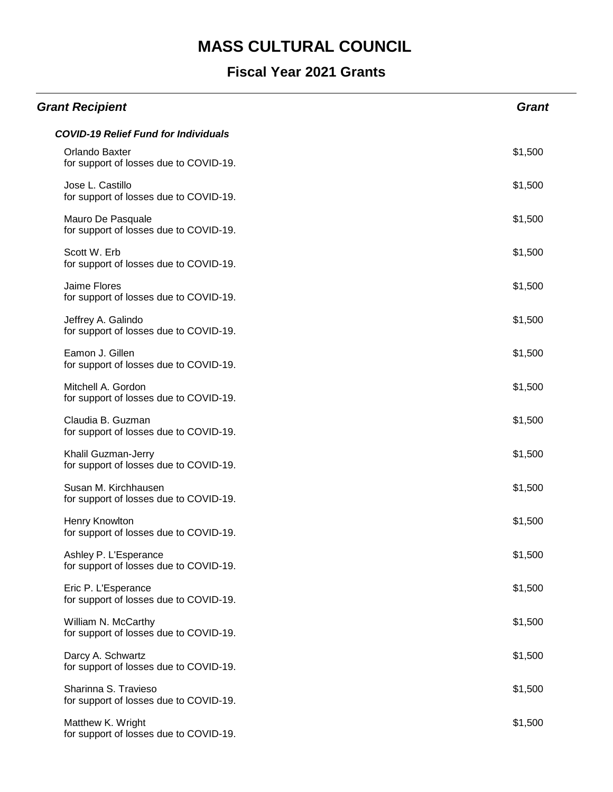| <b>Grant Recipient</b>                                          | <b>Grant</b> |
|-----------------------------------------------------------------|--------------|
| <b>COVID-19 Relief Fund for Individuals</b>                     |              |
| Orlando Baxter<br>for support of losses due to COVID-19.        | \$1,500      |
| Jose L. Castillo<br>for support of losses due to COVID-19.      | \$1,500      |
| Mauro De Pasquale<br>for support of losses due to COVID-19.     | \$1,500      |
| Scott W. Erb<br>for support of losses due to COVID-19.          | \$1,500      |
| Jaime Flores<br>for support of losses due to COVID-19.          | \$1,500      |
| Jeffrey A. Galindo<br>for support of losses due to COVID-19.    | \$1,500      |
| Eamon J. Gillen<br>for support of losses due to COVID-19.       | \$1,500      |
| Mitchell A. Gordon<br>for support of losses due to COVID-19.    | \$1,500      |
| Claudia B. Guzman<br>for support of losses due to COVID-19.     | \$1,500      |
| Khalil Guzman-Jerry<br>for support of losses due to COVID-19.   | \$1,500      |
| Susan M. Kirchhausen<br>for support of losses due to COVID-19.  | \$1,500      |
| Henry Knowlton<br>for support of losses due to COVID-19.        | \$1,500      |
| Ashley P. L'Esperance<br>for support of losses due to COVID-19. | \$1,500      |
| Eric P. L'Esperance<br>for support of losses due to COVID-19.   | \$1,500      |
| William N. McCarthy<br>for support of losses due to COVID-19.   | \$1,500      |
| Darcy A. Schwartz<br>for support of losses due to COVID-19.     | \$1,500      |
| Sharinna S. Travieso<br>for support of losses due to COVID-19.  | \$1,500      |
| Matthew K. Wright<br>for support of losses due to COVID-19.     | \$1,500      |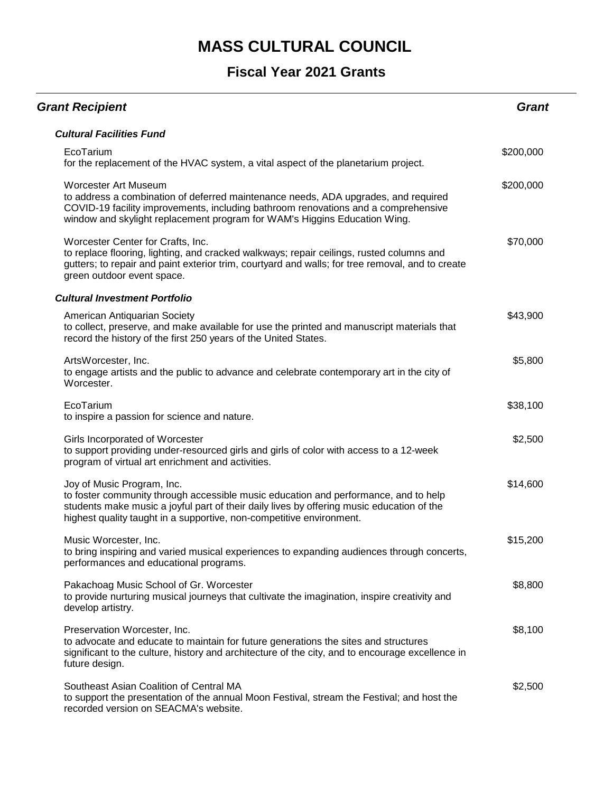| <b>Grant Recipient</b>                                                                                                                                                                                                                                                                 | <b>Grant</b> |
|----------------------------------------------------------------------------------------------------------------------------------------------------------------------------------------------------------------------------------------------------------------------------------------|--------------|
| <b>Cultural Facilities Fund</b>                                                                                                                                                                                                                                                        |              |
| EcoTarium<br>for the replacement of the HVAC system, a vital aspect of the planetarium project.                                                                                                                                                                                        | \$200,000    |
| Worcester Art Museum<br>to address a combination of deferred maintenance needs, ADA upgrades, and required<br>COVID-19 facility improvements, including bathroom renovations and a comprehensive<br>window and skylight replacement program for WAM's Higgins Education Wing.          | \$200,000    |
| Worcester Center for Crafts, Inc.<br>to replace flooring, lighting, and cracked walkways; repair ceilings, rusted columns and<br>gutters; to repair and paint exterior trim, courtyard and walls; for tree removal, and to create<br>green outdoor event space.                        | \$70,000     |
| <b>Cultural Investment Portfolio</b>                                                                                                                                                                                                                                                   |              |
| American Antiquarian Society<br>to collect, preserve, and make available for use the printed and manuscript materials that<br>record the history of the first 250 years of the United States.                                                                                          | \$43,900     |
| ArtsWorcester, Inc.<br>to engage artists and the public to advance and celebrate contemporary art in the city of<br>Worcester.                                                                                                                                                         | \$5,800      |
| EcoTarium<br>to inspire a passion for science and nature.                                                                                                                                                                                                                              | \$38,100     |
| Girls Incorporated of Worcester<br>to support providing under-resourced girls and girls of color with access to a 12-week<br>program of virtual art enrichment and activities.                                                                                                         | \$2,500      |
| Joy of Music Program, Inc.<br>to foster community through accessible music education and performance, and to help<br>students make music a joyful part of their daily lives by offering music education of the<br>highest quality taught in a supportive, non-competitive environment. | \$14,600     |
| Music Worcester, Inc.<br>to bring inspiring and varied musical experiences to expanding audiences through concerts,<br>performances and educational programs.                                                                                                                          | \$15,200     |
| Pakachoag Music School of Gr. Worcester<br>to provide nurturing musical journeys that cultivate the imagination, inspire creativity and<br>develop artistry.                                                                                                                           | \$8,800      |
| Preservation Worcester, Inc.<br>to advocate and educate to maintain for future generations the sites and structures<br>significant to the culture, history and architecture of the city, and to encourage excellence in<br>future design.                                              | \$8,100      |
| Southeast Asian Coalition of Central MA<br>to support the presentation of the annual Moon Festival, stream the Festival; and host the<br>recorded version on SEACMA's website.                                                                                                         | \$2,500      |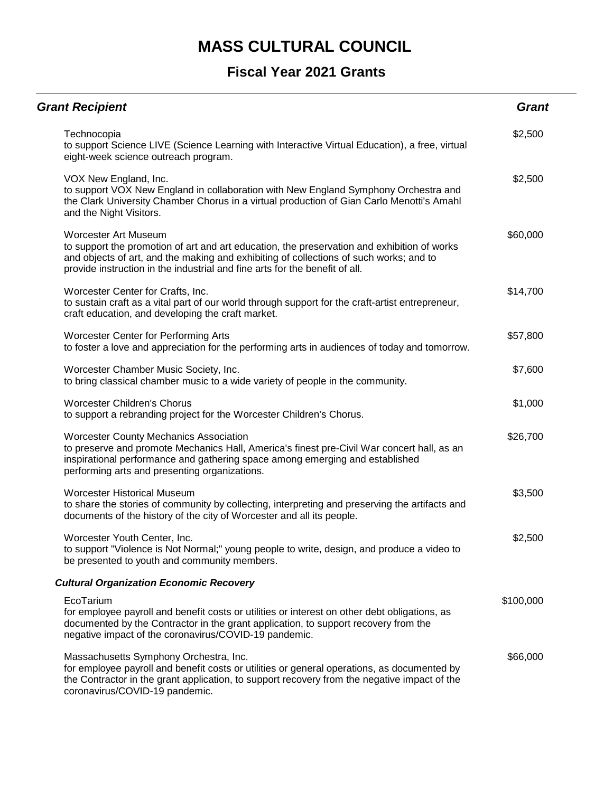| <b>Grant Recipient</b>                                                                                                                                                                                                                                                                              | <b>Grant</b> |
|-----------------------------------------------------------------------------------------------------------------------------------------------------------------------------------------------------------------------------------------------------------------------------------------------------|--------------|
| Technocopia<br>to support Science LIVE (Science Learning with Interactive Virtual Education), a free, virtual<br>eight-week science outreach program.                                                                                                                                               | \$2,500      |
| VOX New England, Inc.<br>to support VOX New England in collaboration with New England Symphony Orchestra and<br>the Clark University Chamber Chorus in a virtual production of Gian Carlo Menotti's Amahl<br>and the Night Visitors.                                                                | \$2,500      |
| <b>Worcester Art Museum</b><br>to support the promotion of art and art education, the preservation and exhibition of works<br>and objects of art, and the making and exhibiting of collections of such works; and to<br>provide instruction in the industrial and fine arts for the benefit of all. | \$60,000     |
| Worcester Center for Crafts, Inc.<br>to sustain craft as a vital part of our world through support for the craft-artist entrepreneur,<br>craft education, and developing the craft market.                                                                                                          | \$14,700     |
| <b>Worcester Center for Performing Arts</b><br>to foster a love and appreciation for the performing arts in audiences of today and tomorrow.                                                                                                                                                        | \$57,800     |
| Worcester Chamber Music Society, Inc.<br>to bring classical chamber music to a wide variety of people in the community.                                                                                                                                                                             | \$7,600      |
| <b>Worcester Children's Chorus</b><br>to support a rebranding project for the Worcester Children's Chorus.                                                                                                                                                                                          | \$1,000      |
| <b>Worcester County Mechanics Association</b><br>to preserve and promote Mechanics Hall, America's finest pre-Civil War concert hall, as an<br>inspirational performance and gathering space among emerging and established<br>performing arts and presenting organizations.                        | \$26,700     |
| <b>Worcester Historical Museum</b><br>to share the stories of community by collecting, interpreting and preserving the artifacts and<br>documents of the history of the city of Worcester and all its people.                                                                                       | \$3,500      |
| Worcester Youth Center, Inc.<br>to support "Violence is Not Normal;" young people to write, design, and produce a video to<br>be presented to youth and community members.                                                                                                                          | \$2,500      |
| <b>Cultural Organization Economic Recovery</b>                                                                                                                                                                                                                                                      |              |
| EcoTarium<br>for employee payroll and benefit costs or utilities or interest on other debt obligations, as<br>documented by the Contractor in the grant application, to support recovery from the<br>negative impact of the coronavirus/COVID-19 pandemic.                                          | \$100,000    |
| Massachusetts Symphony Orchestra, Inc.<br>for employee payroll and benefit costs or utilities or general operations, as documented by<br>the Contractor in the grant application, to support recovery from the negative impact of the<br>coronavirus/COVID-19 pandemic.                             | \$66,000     |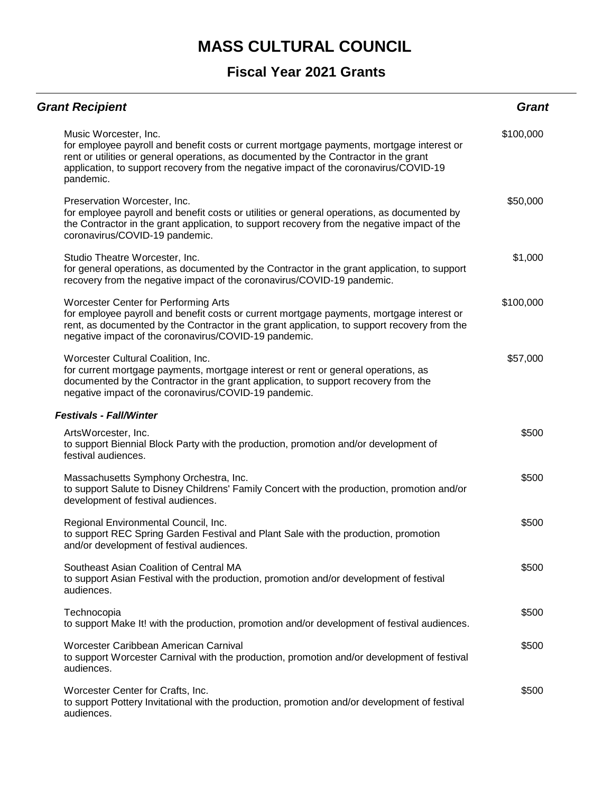| <b>Grant Recipient</b>                                                                                                                                                                                                                                                                                            | <b>Grant</b> |
|-------------------------------------------------------------------------------------------------------------------------------------------------------------------------------------------------------------------------------------------------------------------------------------------------------------------|--------------|
| Music Worcester, Inc.<br>for employee payroll and benefit costs or current mortgage payments, mortgage interest or<br>rent or utilities or general operations, as documented by the Contractor in the grant<br>application, to support recovery from the negative impact of the coronavirus/COVID-19<br>pandemic. | \$100,000    |
| Preservation Worcester, Inc.<br>for employee payroll and benefit costs or utilities or general operations, as documented by<br>the Contractor in the grant application, to support recovery from the negative impact of the<br>coronavirus/COVID-19 pandemic.                                                     | \$50,000     |
| Studio Theatre Worcester, Inc.<br>for general operations, as documented by the Contractor in the grant application, to support<br>recovery from the negative impact of the coronavirus/COVID-19 pandemic.                                                                                                         | \$1,000      |
| <b>Worcester Center for Performing Arts</b><br>for employee payroll and benefit costs or current mortgage payments, mortgage interest or<br>rent, as documented by the Contractor in the grant application, to support recovery from the<br>negative impact of the coronavirus/COVID-19 pandemic.                 | \$100,000    |
| Worcester Cultural Coalition, Inc.<br>for current mortgage payments, mortgage interest or rent or general operations, as<br>documented by the Contractor in the grant application, to support recovery from the<br>negative impact of the coronavirus/COVID-19 pandemic.                                          | \$57,000     |
| <b>Festivals - Fall/Winter</b>                                                                                                                                                                                                                                                                                    |              |
| ArtsWorcester, Inc.<br>to support Biennial Block Party with the production, promotion and/or development of<br>festival audiences.                                                                                                                                                                                | \$500        |
| Massachusetts Symphony Orchestra, Inc.<br>to support Salute to Disney Childrens' Family Concert with the production, promotion and/or<br>development of festival audiences.                                                                                                                                       | \$500        |
| Regional Environmental Council, Inc.<br>to support REC Spring Garden Festival and Plant Sale with the production, promotion<br>and/or development of festival audiences.                                                                                                                                          | \$500        |
| Southeast Asian Coalition of Central MA<br>to support Asian Festival with the production, promotion and/or development of festival<br>audiences.                                                                                                                                                                  | \$500        |
| Technocopia<br>to support Make It! with the production, promotion and/or development of festival audiences.                                                                                                                                                                                                       | \$500        |
| Worcester Caribbean American Carnival<br>to support Worcester Carnival with the production, promotion and/or development of festival<br>audiences.                                                                                                                                                                | \$500        |
| Worcester Center for Crafts, Inc.<br>to support Pottery Invitational with the production, promotion and/or development of festival<br>audiences.                                                                                                                                                                  | \$500        |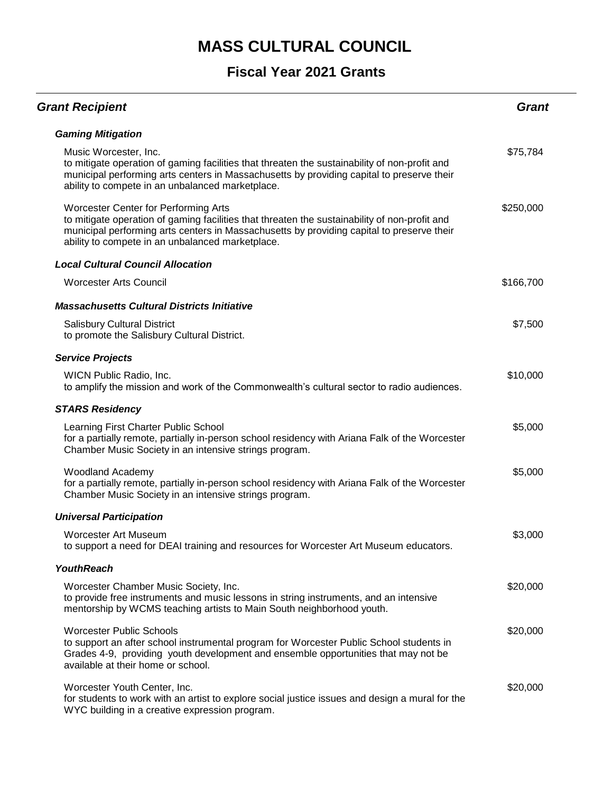| <b>Grant Recipient</b>                                                                                                                                                                                                                                                                        | <b>Grant</b> |
|-----------------------------------------------------------------------------------------------------------------------------------------------------------------------------------------------------------------------------------------------------------------------------------------------|--------------|
| <b>Gaming Mitigation</b>                                                                                                                                                                                                                                                                      |              |
| Music Worcester, Inc.<br>to mitigate operation of gaming facilities that threaten the sustainability of non-profit and<br>municipal performing arts centers in Massachusetts by providing capital to preserve their<br>ability to compete in an unbalanced marketplace.                       | \$75,784     |
| <b>Worcester Center for Performing Arts</b><br>to mitigate operation of gaming facilities that threaten the sustainability of non-profit and<br>municipal performing arts centers in Massachusetts by providing capital to preserve their<br>ability to compete in an unbalanced marketplace. | \$250,000    |
| <b>Local Cultural Council Allocation</b>                                                                                                                                                                                                                                                      |              |
| <b>Worcester Arts Council</b>                                                                                                                                                                                                                                                                 | \$166,700    |
| <b>Massachusetts Cultural Districts Initiative</b>                                                                                                                                                                                                                                            |              |
| <b>Salisbury Cultural District</b><br>to promote the Salisbury Cultural District.                                                                                                                                                                                                             | \$7,500      |
| <b>Service Projects</b>                                                                                                                                                                                                                                                                       |              |
| WICN Public Radio, Inc.<br>to amplify the mission and work of the Commonwealth's cultural sector to radio audiences.                                                                                                                                                                          | \$10,000     |
| <b>STARS Residency</b>                                                                                                                                                                                                                                                                        |              |
| Learning First Charter Public School<br>for a partially remote, partially in-person school residency with Ariana Falk of the Worcester<br>Chamber Music Society in an intensive strings program.                                                                                              | \$5,000      |
| <b>Woodland Academy</b><br>for a partially remote, partially in-person school residency with Ariana Falk of the Worcester<br>Chamber Music Society in an intensive strings program.                                                                                                           | \$5,000      |
| <b>Universal Participation</b>                                                                                                                                                                                                                                                                |              |
| <b>Worcester Art Museum</b><br>to support a need for DEAI training and resources for Worcester Art Museum educators.                                                                                                                                                                          | \$3,000      |
| <b>YouthReach</b>                                                                                                                                                                                                                                                                             |              |
| Worcester Chamber Music Society, Inc.<br>to provide free instruments and music lessons in string instruments, and an intensive<br>mentorship by WCMS teaching artists to Main South neighborhood youth.                                                                                       | \$20,000     |
| <b>Worcester Public Schools</b><br>to support an after school instrumental program for Worcester Public School students in<br>Grades 4-9, providing youth development and ensemble opportunities that may not be<br>available at their home or school.                                        | \$20,000     |
| Worcester Youth Center, Inc.<br>for students to work with an artist to explore social justice issues and design a mural for the<br>WYC building in a creative expression program.                                                                                                             | \$20,000     |